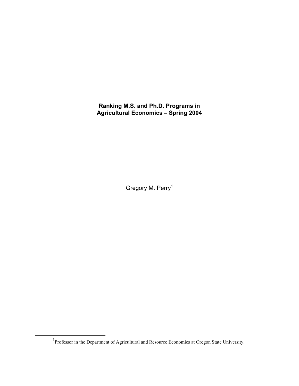**Ranking M.S. and Ph.D. Programs in Agricultural Economics Spring 2004** 

Gregory M. Perry<sup>1</sup>

<sup>&</sup>lt;sup>1</sup>Professor in the Department of Agricultural and Resource Economics at Oregon State University.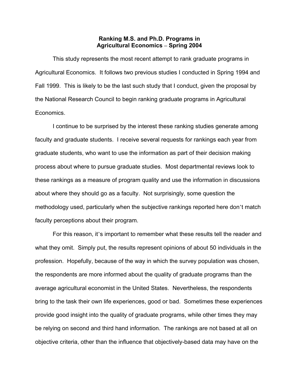# **Ranking M.S. and Ph.D. Programs in Agricultural Economics Spring 2004**

This study represents the most recent attempt to rank graduate programs in Agricultural Economics. It follows two previous studies I conducted in Spring 1994 and Fall 1999. This is likely to be the last such study that I conduct, given the proposal by the National Research Council to begin ranking graduate programs in Agricultural Economics.

I continue to be surprised by the interest these ranking studies generate among faculty and graduate students. I receive several requests for rankings each year from graduate students, who want to use the information as part of their decision making process about where to pursue graduate studies. Most departmental reviews look to these rankings as a measure of program quality and use the information in discussions about where they should go as a faculty. Not surprisingly, some question the methodology used, particularly when the subjective rankings reported here don't match faculty perceptions about their program.

For this reason, it's important to remember what these results tell the reader and what they omit. Simply put, the results represent opinions of about 50 individuals in the profession. Hopefully, because of the way in which the survey population was chosen, the respondents are more informed about the quality of graduate programs than the average agricultural economist in the United States. Nevertheless, the respondents bring to the task their own life experiences, good or bad. Sometimes these experiences provide good insight into the quality of graduate programs, while other times they may be relying on second and third hand information. The rankings are not based at all on objective criteria, other than the influence that objectively-based data may have on the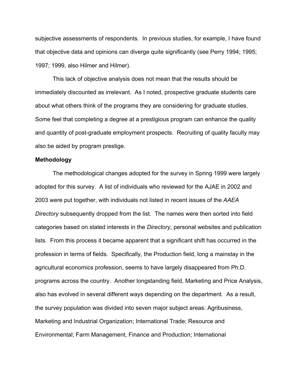subjective assessments of respondents. In previous studies, for example, I have found that objective data and opinions can diverge quite significantly (see Perry 1994; 1995; 1997; 1999, also Hilmer and Hilmer).

This lack of objective analysis does not mean that the results should be immediately discounted as irrelevant. As I noted, prospective graduate students care about what others think of the programs they are considering for graduate studies. Some feel that completing a degree at a prestigious program can enhance the quality and quantity of post-graduate employment prospects. Recruiting of quality faculty may also be aided by program prestige.

### **Methodology**

The methodological changes adopted for the survey in Spring 1999 were largely adopted for this survey. A list of individuals who reviewed for the AJAE in 2002 and 2003 were put together, with individuals not listed in recent issues of the *AAEA Directory* subsequently dropped from the list. The names were then sorted into field categories based on stated interests in the *Directory,* personal websites and publication lists. From this process it became apparent that a significant shift has occurred in the profession in terms of fields. Specifically, the Production field, long a mainstay in the agricultural economics profession, seems to have largely disappeared from Ph.D. programs across the country. Another longstanding field, Marketing and Price Analysis, also has evolved in several different ways depending on the department. As a result, the survey population was divided into seven major subject areas: Agribusiness, Marketing and Industrial Organization; International Trade; Resource and Environmental; Farm Management, Finance and Production; International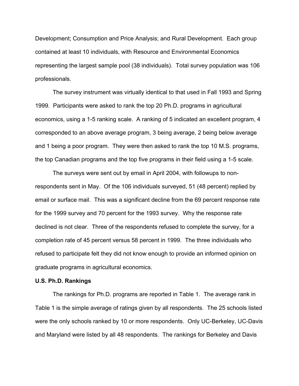Development; Consumption and Price Analysis; and Rural Development. Each group contained at least 10 individuals, with Resource and Environmental Economics representing the largest sample pool (38 individuals). Total survey population was 106 professionals.

The survey instrument was virtually identical to that used in Fall 1993 and Spring 1999. Participants were asked to rank the top 20 Ph.D. programs in agricultural economics, using a 1-5 ranking scale. A ranking of 5 indicated an excellent program, 4 corresponded to an above average program, 3 being average, 2 being below average and 1 being a poor program. They were then asked to rank the top 10 M.S. programs, the top Canadian programs and the top five programs in their field using a 1-5 scale.

The surveys were sent out by email in April 2004, with followups to nonrespondents sent in May. Of the 106 individuals surveyed, 51 (48 percent) replied by email or surface mail. This was a significant decline from the 69 percent response rate for the 1999 survey and 70 percent for the 1993 survey. Why the response rate declined is not clear. Three of the respondents refused to complete the survey, for a completion rate of 45 percent versus 58 percent in 1999. The three individuals who refused to participate felt they did not know enough to provide an informed opinion on graduate programs in agricultural economics.

### **U.S. Ph.D. Rankings**

The rankings for Ph.D. programs are reported in Table 1. The average rank in Table 1 is the simple average of ratings given by all respondents. The 25 schools listed were the only schools ranked by 10 or more respondents. Only UC-Berkeley, UC-Davis and Maryland were listed by all 48 respondents. The rankings for Berkeley and Davis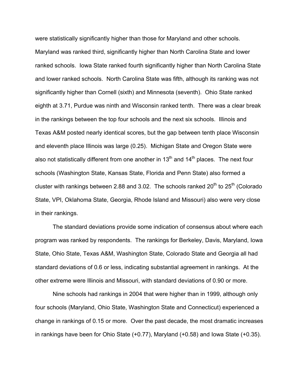were statistically significantly higher than those for Maryland and other schools. Maryland was ranked third, significantly higher than North Carolina State and lower ranked schools. Iowa State ranked fourth significantly higher than North Carolina State and lower ranked schools. North Carolina State was fifth, although its ranking was not significantly higher than Cornell (sixth) and Minnesota (seventh). Ohio State ranked eighth at 3.71, Purdue was ninth and Wisconsin ranked tenth. There was a clear break in the rankings between the top four schools and the next six schools. Illinois and Texas A&M posted nearly identical scores, but the gap between tenth place Wisconsin and eleventh place Illinois was large (0.25). Michigan State and Oregon State were also not statistically different from one another in  $13<sup>th</sup>$  and  $14<sup>th</sup>$  places. The next four schools (Washington State, Kansas State, Florida and Penn State) also formed a cluster with rankings between 2.88 and 3.02. The schools ranked  $20<sup>th</sup>$  to  $25<sup>th</sup>$  (Colorado State, VPI, Oklahoma State, Georgia, Rhode Island and Missouri) also were very close in their rankings.

The standard deviations provide some indication of consensus about where each program was ranked by respondents. The rankings for Berkeley, Davis, Maryland, Iowa State, Ohio State, Texas A&M, Washington State, Colorado State and Georgia all had standard deviations of 0.6 or less, indicating substantial agreement in rankings. At the other extreme were Illinois and Missouri, with standard deviations of 0.90 or more.

Nine schools had rankings in 2004 that were higher than in 1999, although only four schools (Maryland, Ohio State, Washington State and Connecticut) experienced a change in rankings of 0.15 or more. Over the past decade, the most dramatic increases in rankings have been for Ohio State (+0.77), Maryland (+0.58) and Iowa State (+0.35).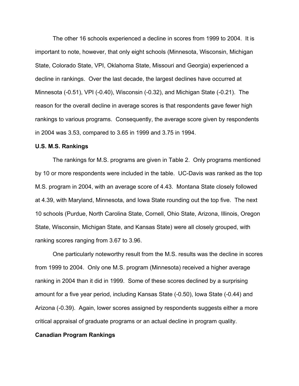The other 16 schools experienced a decline in scores from 1999 to 2004. It is important to note, however, that only eight schools (Minnesota, Wisconsin, Michigan State, Colorado State, VPI, Oklahoma State, Missouri and Georgia) experienced a decline in rankings. Over the last decade, the largest declines have occurred at Minnesota (-0.51), VPI (-0.40), Wisconsin (-0.32), and Michigan State (-0.21). The reason for the overall decline in average scores is that respondents gave fewer high rankings to various programs. Consequently, the average score given by respondents in 2004 was 3.53, compared to 3.65 in 1999 and 3.75 in 1994.

### U.S. M.S. Rankings

The rankings for M.S. programs are given in Table 2. Only programs mentioned by 10 or more respondents were included in the table. UC-Davis was ranked as the top M.S. program in 2004, with an average score of 4.43. Montana State closely followed at 4.39, with Maryland, Minnesota, and Iowa State rounding out the top five. The next 10 schools (Purdue, North Carolina State, Cornell, Ohio State, Arizona, Illinois, Oregon State, Wisconsin, Michigan State, and Kansas State) were all closely grouped, with ranking scores ranging from 3.67 to 3.96.

One particularly noteworthy result from the M.S. results was the decline in scores from 1999 to 2004. Only one M.S. program (Minnesota) received a higher average ranking in 2004 than it did in 1999. Some of these scores declined by a surprising amount for a five year period, including Kansas State (-0.50), Iowa State (-0.44) and Arizona (-0.39). Again, lower scores assigned by respondents suggests either a more critical appraisal of graduate programs or an actual decline in program quality.

### Canadian Program Rankings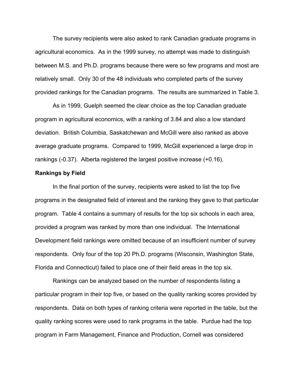The survey recipients were also asked to rank Canadian graduate programs in agricultural economics. As in the 1999 survey, no attempt was made to distinguish between M.S. and Ph.D. programs because there were so few programs and most are relatively small. Only 30 of the 48 individuals who completed parts of the survey provided rankings for the Canadian programs. The results are summarized in Table 3.

As in 1999, Guelph seemed the clear choice as the top Canadian graduate program in agricultural economics, with a ranking of 3.84 and also a low standard deviation. British Columbia, Saskatchewan and McGill were also ranked as above average graduate programs. Compared to 1999, McGill experienced a large drop in rankings (-0.37). Alberta registered the largest positive increase (+0.16).

### Rankings by Field

In the final portion of the survey, recipients were asked to list the top five programs in the designated field of interest and the ranking they gave to that particular program. Table 4 contains a summary of results for the top six schools in each area, provided a program was ranked by more than one individual. The International Development field rankings were omitted because of an insufficient number of survey respondents. Only four of the top 20 Ph.D. programs (Wisconsin, Washington State, Florida and Connecticut) failed to place one of their field areas in the top six.

Rankings can be analyzed based on the number of respondents listing a particular program in their top five, or based on the quality ranking scores provided by respondents. Data on both types of ranking criteria were reported in the table, but the quality ranking scores were used to rank programs in the table. Purdue had the top program in Farm Management, Finance and Production, Cornell was considered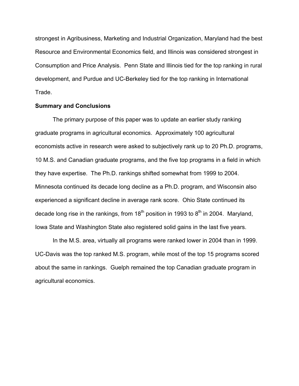strongest in Agribusiness, Marketing and Industrial Organization, Maryland had the best Resource and Environmental Economics field, and Illinois was considered strongest in Consumption and Price Analysis. Penn State and Illinois tied for the top ranking in rural development, and Purdue and UC-Berkeley tied for the top ranking in International Trade.

### Summary and Conclusions

The primary purpose of this paper was to update an earlier study ranking graduate programs in agricultural economics. Approximately 100 agricultural economists active in research were asked to subjectively rank up to 20 Ph.D. programs, 10 M.S. and Canadian graduate programs, and the five top programs in a field in which they have expertise. The Ph.D. rankings shifted somewhat from 1999 to 2004. Minnesota continued its decade long decline as a Ph.D. program, and Wisconsin also experienced a significant decline in average rank score. Ohio State continued its decade long rise in the rankings, from  $18<sup>th</sup>$  position in 1993 to  $8<sup>th</sup>$  in 2004. Maryland, Iowa State and Washington State also registered solid gains in the last five years.

In the M.S. area, virtually all programs were ranked lower in 2004 than in 1999. UC-Davis was the top ranked M.S. program, while most of the top 15 programs scored about the same in rankings. Guelph remained the top Canadian graduate program in agricultural economics.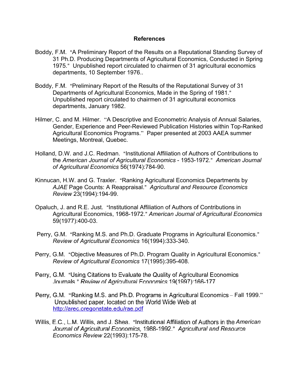## References

- Boddy, F.M. "A Preliminary Report of the Results on a Reputational Standing Survey of 31 Ph.D. Producing Departments of Agricultural Economics, Conducted in Spring 1975." Unpublished report circulated to chairmen of 31 agricultural economics departments, 10 September 1976..
- Boddy, F.M. "Preliminary Report of the Results of the Reputational Survey of 31 Departments of Agricultural Economics, Made in the Spring of 1981." Unpublished report circulated to chairmen of 31 agricultural economics departments, January 1982.
- Hilmer, C. and M. Hilmer. "A Descriptive and Econometric Analysis of Annual Salaries, Gender, Experience and Peer-Reviewed Publication Histories within Top-Ranked Agricultural Economics Programs." Paper presented at 2003 AAEA summer Meetings, Montreal, Quebec.
- Holland, D.W. and J.C. Redman. "Institutional Affiliation of Authors of Contributions to the American Journal of Agricultural Economics - 1953-1972." American Journal of Agricultural Economics 56(1974):784-90.
- Kinnucan, H.W. and G. Traxler. "Ranking Agricultural Economics Departments by AJAE Page Counts: A Reappraisal." Agricultural and Resource Economics Review 23(1994):194-99.
- Opaluch, J. and R.E. Just. "Institutional Affiliation of Authors of Contributions in Agricultural Economics, 1968-1972." American Journal of Agricultural Economics 59(1977):400-03.
- Perry, G.M. "Ranking M.S. and Ph.D. Graduate Programs in Agricultural Economics." Review of Agricultural Economics 16(1994):333-340.
- Perry, G.M. "Objective Measures of Ph.D. Program Quality in Agricultural Economics." Review of Agricultural Economics 17(1995):395-408.
- Perry, G.M. "Using Citations to Evaluate the Quality of Agricultural Economics Journals." Review of Agricultural Economics 19(1997):166-177.
- Perry, G.M. "Ranking M.S. and Ph.D. Programs in Agricultural Economics Fall 1999." Unpublished paper, located on the World Wide Web at http://arec.oregonstate.edu/rae.pdf
- Willis, E.C., L.M. Willis, and J. Shea. "Institutional Affiliation of Authors in the American Journal of Agricultural Economics, 1988-1992." Agricultural and Resource Economics Review 22(1993):175-78.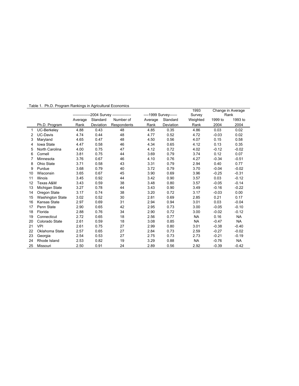|  |  |  | Table 1. Ph.D. Program Rankings in Agricultural Economics |
|--|--|--|-----------------------------------------------------------|
|  |  |  |                                                           |

|    |                         | -2004 Survey --------------- |           | ----1999 Survey------ |         | 1993<br>Survey | Change in Average<br>Rank |         |           |
|----|-------------------------|------------------------------|-----------|-----------------------|---------|----------------|---------------------------|---------|-----------|
|    |                         | Average                      | Standard  | Number of             | Average | Standard       | Weighted                  | 1999 to | 1993 to   |
|    | Ph.D. Program           | Rank                         | Deviation | Respondents           | Rank    | Deviation      | Rank                      | 2004    | 2004      |
|    | UC-Berkeley             | 4.88                         | 0.43      | 48                    | 4.85    | 0.35           | 4.86                      | 0.03    | 0.02      |
| 2  | <b>UC-Davis</b>         | 4.74                         | 0.44      | 48                    | 4.77    | 0.52           | 4.72                      | $-0.03$ | 0.02      |
| 3  | Maryland                | 4.65                         | 0.47      | 48                    | 4.50    | 0.56           | 4.07                      | 0.15    | 0.58      |
| 4  | <b>lowa State</b>       | 4.47                         | 0.58      | 46                    | 4.34    | 0.65           | 4.12                      | 0.13    | 0.35      |
| 5  | North Carolina          | 4.00                         | 0.75      | 47                    | 4.12    | 0.72           | 4.02                      | $-0.12$ | $-0.02$   |
| 6  | Cornell                 | 3.81                         | 0.75      | 44                    | 3.69    | 0.79           | 3.74                      | 0.12    | 0.07      |
|    | Minnesota               | 3.76                         | 0.67      | 46                    | 4.10    | 0.76           | 4.27                      | $-0.34$ | $-0.51$   |
| 8  | Ohio State              | 3.71                         | 0.58      | 43                    | 3.31    | 0.79           | 2.94                      | 0.40    | 0.77      |
| 9  | Purdue                  | 3.68                         | 0.79      | 40                    | 3.72    | 0.79           | 3.70                      | $-0.04$ | $-0.02$   |
| 10 | Wisconsin               | 3.65                         | 0.67      | 45                    | 3.90    | 0.69           | 3.96                      | $-0.25$ | $-0.31$   |
| 11 | <b>Illinois</b>         | 3.45                         | 0.92      | 44                    | 3.42    | 0.90           | 3.57                      | 0.03    | $-0.12$   |
| 12 | Texas A&M               | 3.43                         | 0.59      | 38                    | 3.48    | 0.80           | 3.57                      | $-0.05$ | $-0.14$   |
| 13 | Michigan State          | 3.27                         | 0.78      | 44                    | 3.43    | 0.90           | 3.49                      | $-0.16$ | $-0.22$   |
| 14 | Oregon State            | 3.17                         | 0.74      | 38                    | 3.20    | 0.72           | 3.17                      | $-0.03$ | 0.00      |
| 15 | <b>Washington State</b> | 3.02                         | 0.52      | 30                    | 2.81    | 0.69           | 2.85                      | 0.21    | 0.17      |
| 16 | Kansas State            | 2.97                         | 0.69      | 31                    | 2.94    | 0.94           | 3.01                      | 0.03    | $-0.04$   |
| 17 | Penn State              | 2.90                         | 0.65      | 42                    | 2.95    | 0.73           | 3.00                      | $-0.05$ | $-0.10$   |
| 18 | Florida                 | 2.88                         | 0.76      | 34                    | 2.90    | 0.72           | 3.00                      | $-0.02$ | $-0.12$   |
| 19 | Connecticut             | 2.72                         | 0.65      | 18                    | 2.56    | 0.77           | <b>NA</b>                 | 0.16    | <b>NA</b> |
| 20 | Colorado State          | 2.61                         | 0.59      | 18                    | 3.08    | 0.85           | <b>NA</b>                 | $-0.47$ | <b>NA</b> |
| 21 | VPI                     | 2.61                         | 0.75      | 27                    | 2.99    | 0.80           | 3.01                      | $-0.38$ | $-0.40$   |
| 22 | Oklahoma State          | 2.57                         | 0.65      | 27                    | 2.84    | 0.73           | 2.59                      | $-0.27$ | $-0.02$   |
| 23 | Georgia                 | 2.54                         | 0.53      | 27                    | 2.75    | 0.73           | 2.73                      | $-0.21$ | $-0.19$   |
| 24 | Rhode Island            | 2.53                         | 0.82      | 19                    | 3.29    | 0.88           | <b>NA</b>                 | $-0.76$ | <b>NA</b> |
| 25 | Missouri                | 2.50                         | 0.91      | 24                    | 2.89    | 0.56           | 2.92                      | $-0.39$ | $-0.42$   |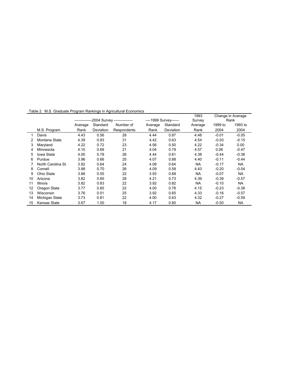|    |                    |                                           |           |             |                       |           | 1993           | Change in Average |           |
|----|--------------------|-------------------------------------------|-----------|-------------|-----------------------|-----------|----------------|-------------------|-----------|
|    |                    | --------------2004 Survey --------------- |           |             | ----1999 Survey------ |           | Survey<br>Rank |                   |           |
|    |                    | Average                                   | Standard  | Number of   | Average               | Standard  | Average        | 1999 to           | 1993 to   |
|    | M.S. Program       | Rank                                      | Deviation | Respondents | Rank                  | Deviation | Rank           | 2004              | 2004      |
|    | Davis              | 4.43                                      | 0.56      | 28          | 4.44                  | 0.87      | 4.48           | $-0.01$           | $-0.05$   |
|    | Montana State      | 4.39                                      | 0.83      | 31          | 4.42                  | 0.63      | 4.54           | $-0.03$           | $-0.15$   |
| 3  | Maryland           | 4.22                                      | 0.72      | 23          | 4.56                  | 0.50      | 4.22           | $-0.34$           | 0.00      |
| 4  | Minnesota          | 4.10                                      | 0.68      | 21          | 4.04                  | 0.79      | 4.57           | 0.06              | $-0.47$   |
| 5  | <b>lowa State</b>  | 4.00                                      | 0.78      | 26          | 4.44                  | 0.61      | 4.38           | $-0.44$           | $-0.38$   |
| 6  | Purdue             | 3.96                                      | 0.66      | 25          | 4.07                  | 0.88      | 4.40           | $-0.11$           | $-0.44$   |
|    | North Carolina St. | 3.92                                      | 0.64      | 24          | 4.08                  | 0.64      | <b>NA</b>      | $-0.17$           | NA        |
| 8  | Cornell            | 3.88                                      | 0.70      | 26          | 4.09                  | 0.58      | 4.43           | $-0.20$           | $-0.54$   |
| 9  | Ohio State         | 3.86                                      | 0.55      | 22          | 3.93                  | 0.68      | <b>NA</b>      | $-0.07$           | <b>NA</b> |
| 10 | Arizona            | 3.82                                      | 0.85      | 28          | 4.21                  | 0.73      | 4.39           | $-0.39$           | $-0.57$   |
| 11 | <b>Illinois</b>    | 3.82                                      | 0.83      | 22          | 3.92                  | 0.82      | <b>NA</b>      | $-0.10$           | <b>NA</b> |
| 12 | Oregon State       | 3.77                                      | 0.85      | 22          | 4.00                  | 0.78      | 4.15           | $-0.23$           | $-0.38$   |
| 13 | Wisconsin          | 3.76                                      | 0.51      | 25          | 3.92                  | 0.65      | 4.33           | $-0.16$           | $-0.57$   |
| 14 | Michigan State     | 3.73                                      | 0.81      | 22          | 4.00                  | 0.63      | 4.32           | $-0.27$           | $-0.59$   |
| 15 | Kansas State       | 3.67                                      | 1.00      | 18          | 4.17                  | 0.80      | NA             | $-0.50$           | NA.       |

Table 2. M.S. Graduate Program Rankings in Agricultural Economics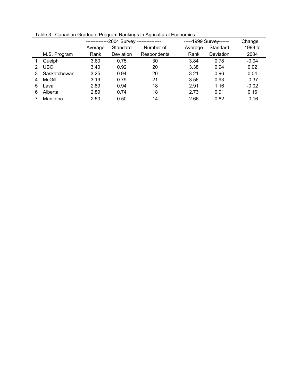|   |              | -2004 Survey ---------------     |           |             |          | -----1999 Survey------ |         |
|---|--------------|----------------------------------|-----------|-------------|----------|------------------------|---------|
|   |              | Standard<br>Number of<br>Average |           | Average     | Standard | 1999 to                |         |
|   | M.S. Program | Rank                             | Deviation | Respondents | Rank     | Deviation              | 2004    |
|   | Guelph       | 3.80                             | 0.75      | 30          | 3.84     | 0.78                   | $-0.04$ |
|   | <b>UBC</b>   | 3.40                             | 0.92      | 20          | 3.38     | 0.94                   | 0.02    |
|   | Saskatchewan | 3.25                             | 0.94      | 20          | 3.21     | 0.96                   | 0.04    |
|   | McGill       | 3.19                             | 0.79      | 21          | 3.56     | 0.93                   | $-0.37$ |
| 5 | Laval        | 2.89                             | 0.94      | 18          | 2.91     | 1.16                   | $-0.02$ |
| 6 | Alberta      | 2.89                             | 0.74      | 18          | 2.73     | 0.91                   | 0.16    |
|   | Manitoba     | 2.50                             | 0.50      | 14          | 2.66     | 0.82                   | $-0.16$ |

Table 3. Canadian Graduate Program Rankings in Agricultural Economics